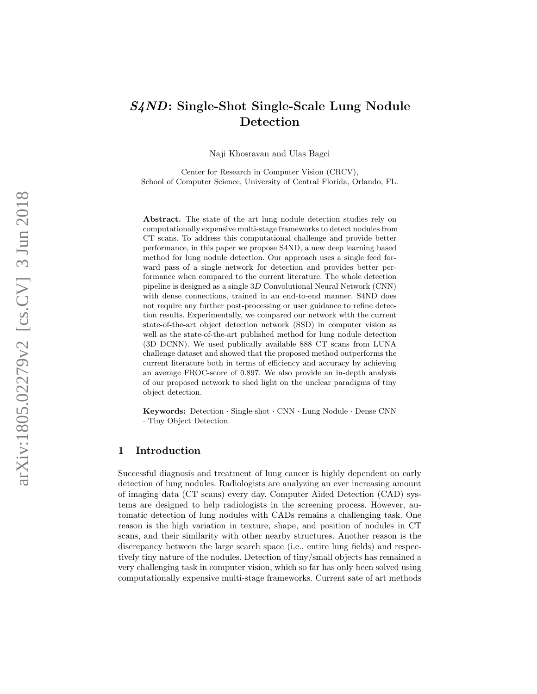# S4ND: Single-Shot Single-Scale Lung Nodule Detection

Naji Khosravan and Ulas Bagci

Center for Research in Computer Vision (CRCV), School of Computer Science, University of Central Florida, Orlando, FL.

Abstract. The state of the art lung nodule detection studies rely on computationally expensive multi-stage frameworks to detect nodules from CT scans. To address this computational challenge and provide better performance, in this paper we propose S4ND, a new deep learning based method for lung nodule detection. Our approach uses a single feed forward pass of a single network for detection and provides better performance when compared to the current literature. The whole detection pipeline is designed as a single 3 D Convolutional Neural Network (CNN) with dense connections, trained in an end-to-end manner. S4ND does not require any further post-processing or user guidance to refine detection results. Experimentally, we compared our network with the current state-of-the-art object detection network (SSD) in computer vision as well as the state-of-the-art published method for lung nodule detection (3D DCNN). We used publically available 888 CT scans from LUNA challenge dataset and showed that the proposed method outperforms the current literature both in terms of efficiency and accuracy by achieving an average FROC-score of 0 .897. We also provide an in-depth analysis of our proposed network to shed light on the unclear paradigms of tiny object detection.

Keywords: Detection · Single-shot · CNN · Lung Nodule · Dense CNN · Tiny Object Detection.

# 1 Introduction

Successful diagnosis and treatment of lung cancer is highly dependent on early detection of lung nodules. Radiologists are analyzing an ever increasing amount of imaging data (CT scans) every day. Computer Aided Detection (CAD) systems are designed to help radiologists in the screening process. However, automatic detection of lung nodules with CADs remains a challenging task. One reason is the high variation in texture, shape, and position of nodules in CT scans, and their similarity with other nearby structures. Another reason is the discrepancy between the large search space (i.e., entire lung fields) and respectively tiny nature of the nodules. Detection of tiny/small objects has remained a very challenging task in computer vision, which so far has only been solved using computationally expensive multi-stage frameworks. Current sate of art methods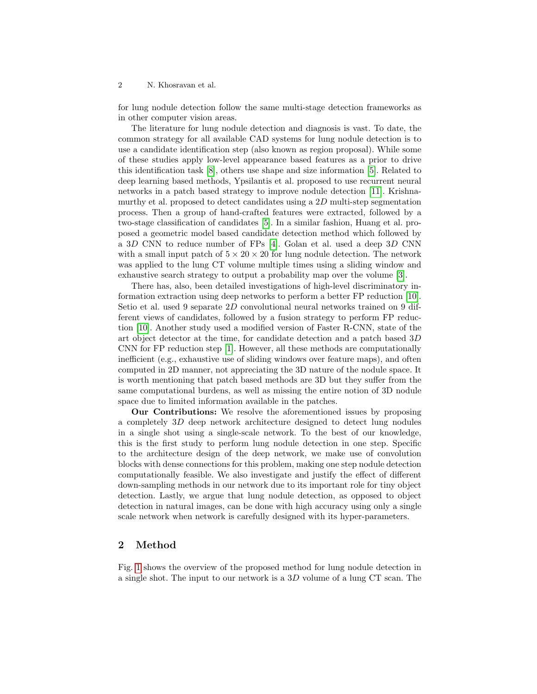for lung nodule detection follow the same multi-stage detection frameworks as in other computer vision areas.

The literature for lung nodule detection and diagnosis is vast. To date, the common strategy for all available CAD systems for lung nodule detection is to use a candidate identification step (also known as region proposal). While some of these studies apply low-level appearance based features as a prior to drive this identification task [\[8\]](#page-7-0), others use shape and size information [\[5\]](#page-7-1). Related to deep learning based methods, Ypsilantis et al. proposed to use recurrent neural networks in a patch based strategy to improve nodule detection [\[11\]](#page-7-2). Krishnamurthy et al. proposed to detect candidates using a 2D multi-step segmentation process. Then a group of hand-crafted features were extracted, followed by a two-stage classification of candidates [\[5\]](#page-7-1). In a similar fashion, Huang et al. proposed a geometric model based candidate detection method which followed by a 3D CNN to reduce number of FPs [\[4\]](#page-7-3). Golan et al. used a deep 3D CNN with a small input patch of  $5 \times 20 \times 20$  for lung nodule detection. The network was applied to the lung CT volume multiple times using a sliding window and exhaustive search strategy to output a probability map over the volume [\[3\]](#page-7-4).

There has, also, been detailed investigations of high-level discriminatory information extraction using deep networks to perform a better FP reduction [\[10\]](#page-7-5). Setio et al. used 9 separate 2D convolutional neural networks trained on 9 different views of candidates, followed by a fusion strategy to perform FP reduction [\[10\]](#page-7-5). Another study used a modified version of Faster R-CNN, state of the art object detector at the time, for candidate detection and a patch based 3D CNN for FP reduction step [\[1\]](#page-7-6). However, all these methods are computationally inefficient (e.g., exhaustive use of sliding windows over feature maps), and often computed in 2D manner, not appreciating the 3D nature of the nodule space. It is worth mentioning that patch based methods are 3D but they suffer from the same computational burdens, as well as missing the entire notion of 3D nodule space due to limited information available in the patches.

Our Contributions: We resolve the aforementioned issues by proposing a completely 3D deep network architecture designed to detect lung nodules in a single shot using a single-scale network. To the best of our knowledge, this is the first study to perform lung nodule detection in one step. Specific to the architecture design of the deep network, we make use of convolution blocks with dense connections for this problem, making one step nodule detection computationally feasible. We also investigate and justify the effect of different down-sampling methods in our network due to its important role for tiny object detection. Lastly, we argue that lung nodule detection, as opposed to object detection in natural images, can be done with high accuracy using only a single scale network when network is carefully designed with its hyper-parameters.

## 2 Method

Fig. [1](#page-2-0) shows the overview of the proposed method for lung nodule detection in a single shot. The input to our network is a 3D volume of a lung CT scan. The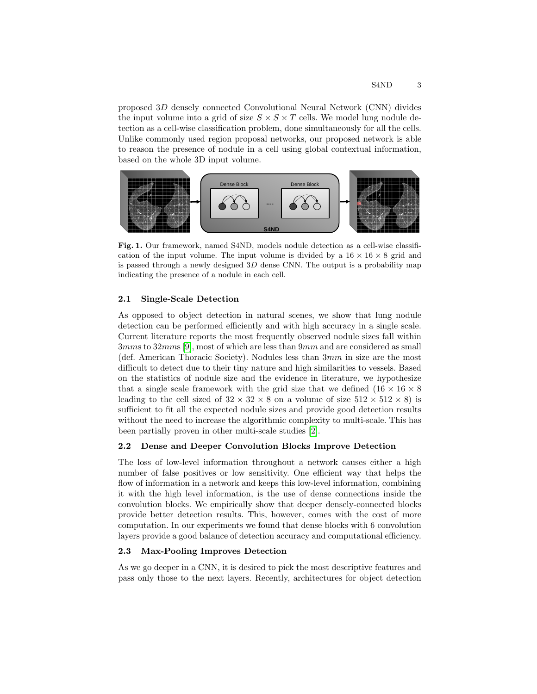proposed 3D densely connected Convolutional Neural Network (CNN) divides the input volume into a grid of size  $S \times S \times T$  cells. We model lung nodule detection as a cell-wise classification problem, done simultaneously for all the cells. Unlike commonly used region proposal networks, our proposed network is able to reason the presence of nodule in a cell using global contextual information, based on the whole 3D input volume.



<span id="page-2-0"></span>Fig. 1. Our framework, named S4ND, models nodule detection as a cell-wise classification of the input volume. The input volume is divided by a  $16 \times 16 \times 8$  grid and is passed through a newly designed  $3D$  dense CNN. The output is a probability map indicating the presence of a nodule in each cell.

## 2.1 Single-Scale Detection

As opposed to object detection in natural scenes, we show that lung nodule detection can be performed efficiently and with high accuracy in a single scale. Current literature reports the most frequently observed nodule sizes fall within 3mms to 32mms [\[9\]](#page-7-7), most of which are less than 9mm and are considered as small (def. American Thoracic Society). Nodules less than 3mm in size are the most difficult to detect due to their tiny nature and high similarities to vessels. Based on the statistics of nodule size and the evidence in literature, we hypothesize that a single scale framework with the grid size that we defined  $(16 \times 16 \times 8$ leading to the cell sized of  $32 \times 32 \times 8$  on a volume of size  $512 \times 512 \times 8$ ) is sufficient to fit all the expected nodule sizes and provide good detection results without the need to increase the algorithmic complexity to multi-scale. This has been partially proven in other multi-scale studies [\[2\]](#page-7-8).

#### 2.2 Dense and Deeper Convolution Blocks Improve Detection

The loss of low-level information throughout a network causes either a high number of false positives or low sensitivity. One efficient way that helps the flow of information in a network and keeps this low-level information, combining it with the high level information, is the use of dense connections inside the convolution blocks. We empirically show that deeper densely-connected blocks provide better detection results. This, however, comes with the cost of more computation. In our experiments we found that dense blocks with 6 convolution layers provide a good balance of detection accuracy and computational efficiency.

### 2.3 Max-Pooling Improves Detection

As we go deeper in a CNN, it is desired to pick the most descriptive features and pass only those to the next layers. Recently, architectures for object detection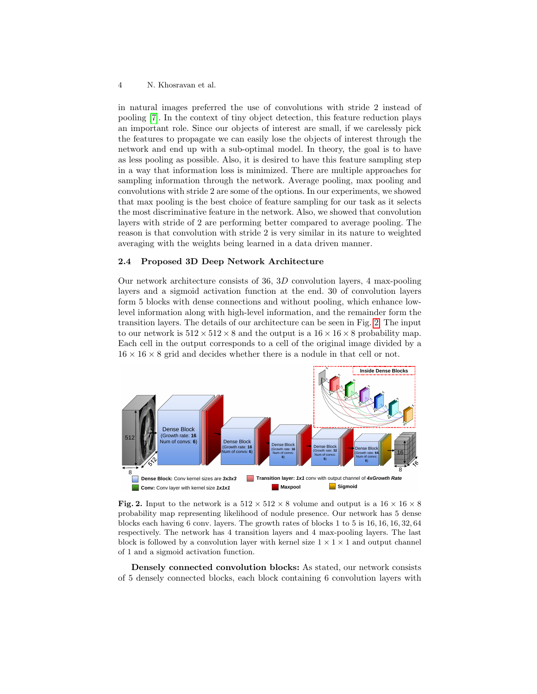in natural images preferred the use of convolutions with stride 2 instead of pooling [\[7\]](#page-7-9). In the context of tiny object detection, this feature reduction plays an important role. Since our objects of interest are small, if we carelessly pick the features to propagate we can easily lose the objects of interest through the network and end up with a sub-optimal model. In theory, the goal is to have as less pooling as possible. Also, it is desired to have this feature sampling step in a way that information loss is minimized. There are multiple approaches for sampling information through the network. Average pooling, max pooling and convolutions with stride 2 are some of the options. In our experiments, we showed that max pooling is the best choice of feature sampling for our task as it selects the most discriminative feature in the network. Also, we showed that convolution layers with stride of 2 are performing better compared to average pooling. The reason is that convolution with stride 2 is very similar in its nature to weighted averaging with the weights being learned in a data driven manner.

### 2.4 Proposed 3D Deep Network Architecture

Our network architecture consists of 36, 3D convolution layers, 4 max-pooling layers and a sigmoid activation function at the end. 30 of convolution layers form 5 blocks with dense connections and without pooling, which enhance lowlevel information along with high-level information, and the remainder form the transition layers. The details of our architecture can be seen in Fig. [2.](#page-3-0) The input to our network is  $512 \times 512 \times 8$  and the output is a  $16 \times 16 \times 8$  probability map. Each cell in the output corresponds to a cell of the original image divided by a  $16 \times 16 \times 8$  grid and decides whether there is a nodule in that cell or not.



<span id="page-3-0"></span>Fig. 2. Input to the network is a  $512 \times 512 \times 8$  volume and output is a  $16 \times 16 \times 8$ probability map representing likelihood of nodule presence. Our network has 5 dense blocks each having 6 conv. layers. The growth rates of blocks 1 to 5 is 16, 16, 16, 32, 64 respectively. The network has 4 transition layers and 4 max-pooling layers. The last block is followed by a convolution layer with kernel size  $1 \times 1 \times 1$  and output channel of 1 and a sigmoid activation function.

Densely connected convolution blocks: As stated, our network consists of 5 densely connected blocks, each block containing 6 convolution layers with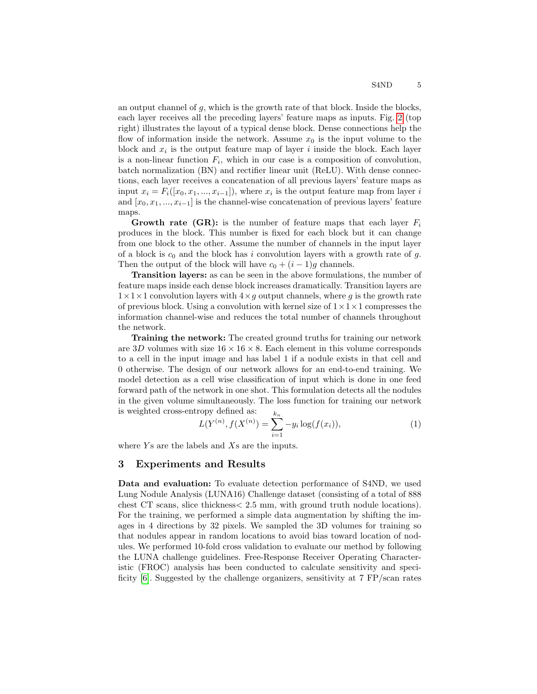an output channel of g, which is the growth rate of that block. Inside the blocks, each layer receives all the preceding layers' feature maps as inputs. Fig. [2](#page-3-0) (top right) illustrates the layout of a typical dense block. Dense connections help the flow of information inside the network. Assume  $x_0$  is the input volume to the block and  $x_i$  is the output feature map of layer i inside the block. Each layer is a non-linear function  $F_i$ , which in our case is a composition of convolution, batch normalization (BN) and rectifier linear unit (ReLU). With dense connections, each layer receives a concatenation of all previous layers' feature maps as input  $x_i = F_i([x_0, x_1, ..., x_{i-1}])$ , where  $x_i$  is the output feature map from layer i and  $[x_0, x_1, ..., x_{i-1}]$  is the channel-wise concatenation of previous layers' feature maps.

**Growth rate (GR):** is the number of feature maps that each layer  $F_i$ produces in the block. This number is fixed for each block but it can change from one block to the other. Assume the number of channels in the input layer of a block is  $c_0$  and the block has i convolution layers with a growth rate of g. Then the output of the block will have  $c_0 + (i - 1)g$  channels.

Transition layers: as can be seen in the above formulations, the number of feature maps inside each dense block increases dramatically. Transition layers are  $1\times1\times1$  convolution layers with  $4\times q$  output channels, where g is the growth rate of previous block. Using a convolution with kernel size of  $1 \times 1 \times 1$  compresses the information channel-wise and reduces the total number of channels throughout the network.

Training the network: The created ground truths for training our network are 3D volumes with size  $16 \times 16 \times 8$ . Each element in this volume corresponds to a cell in the input image and has label 1 if a nodule exists in that cell and 0 otherwise. The design of our network allows for an end-to-end training. We model detection as a cell wise classification of input which is done in one feed forward path of the network in one shot. This formulation detects all the nodules in the given volume simultaneously. The loss function for training our network is weighted cross-entropy defined as:

$$
L(Y^{(n)}, f(X^{(n)}) = \sum_{i=1}^{k_n} -y_i \log(f(x_i)),
$$
\n(1)

where  $Y_s$  are the labels and  $X_s$  are the inputs.

#### 3 Experiments and Results

Data and evaluation: To evaluate detection performance of S4ND, we used Lung Nodule Analysis (LUNA16) Challenge dataset (consisting of a total of 888 chest CT scans, slice thickness< 2.5 mm, with ground truth nodule locations). For the training, we performed a simple data augmentation by shifting the images in 4 directions by 32 pixels. We sampled the 3D volumes for training so that nodules appear in random locations to avoid bias toward location of nodules. We performed 10-fold cross validation to evaluate our method by following the LUNA challenge guidelines. Free-Response Receiver Operating Characteristic (FROC) analysis has been conducted to calculate sensitivity and specificity  $[6]$ . Suggested by the challenge organizers, sensitivity at 7 FP/scan rates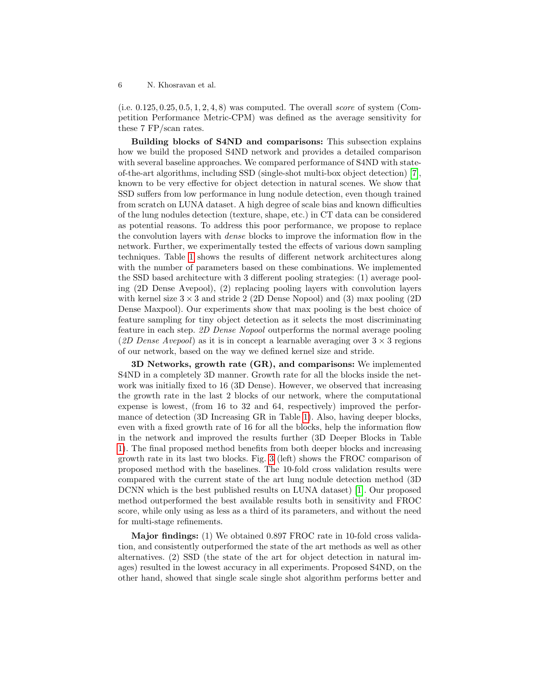$(i.e. 0.125, 0.25, 0.5, 1, 2, 4, 8)$  was computed. The overall *score* of system (Competition Performance Metric-CPM) was defined as the average sensitivity for these 7 FP/scan rates.

Building blocks of S4ND and comparisons: This subsection explains how we build the proposed S4ND network and provides a detailed comparison with several baseline approaches. We compared performance of S4ND with stateof-the-art algorithms, including SSD (single-shot multi-box object detection) [\[7\]](#page-7-9), known to be very effective for object detection in natural scenes. We show that SSD suffers from low performance in lung nodule detection, even though trained from scratch on LUNA dataset. A high degree of scale bias and known difficulties of the lung nodules detection (texture, shape, etc.) in CT data can be considered as potential reasons. To address this poor performance, we propose to replace the convolution layers with dense blocks to improve the information flow in the network. Further, we experimentally tested the effects of various down sampling techniques. Table [1](#page-6-0) shows the results of different network architectures along with the number of parameters based on these combinations. We implemented the SSD based architecture with 3 different pooling strategies: (1) average pooling (2D Dense Avepool), (2) replacing pooling layers with convolution layers with kernel size  $3 \times 3$  and stride 2 (2D Dense Nopool) and (3) max pooling (2D Dense Maxpool). Our experiments show that max pooling is the best choice of feature sampling for tiny object detection as it selects the most discriminating feature in each step. 2D Dense Nopool outperforms the normal average pooling (2D Dense Avepool) as it is in concept a learnable averaging over  $3 \times 3$  regions of our network, based on the way we defined kernel size and stride.

3D Networks, growth rate (GR), and comparisons: We implemented S4ND in a completely 3D manner. Growth rate for all the blocks inside the network was initially fixed to 16 (3D Dense). However, we observed that increasing the growth rate in the last 2 blocks of our network, where the computational expense is lowest, (from 16 to 32 and 64, respectively) improved the performance of detection (3D Increasing GR in Table [1\)](#page-6-0). Also, having deeper blocks, even with a fixed growth rate of 16 for all the blocks, help the information flow in the network and improved the results further (3D Deeper Blocks in Table [1\)](#page-6-0). The final proposed method benefits from both deeper blocks and increasing growth rate in its last two blocks. Fig. [3](#page-6-1) (left) shows the FROC comparison of proposed method with the baselines. The 10-fold cross validation results were compared with the current state of the art lung nodule detection method (3D DCNN which is the best published results on LUNA dataset) [\[1\]](#page-7-6). Our proposed method outperformed the best available results both in sensitivity and FROC score, while only using as less as a third of its parameters, and without the need for multi-stage refinements.

Major findings: (1) We obtained 0.897 FROC rate in 10-fold cross validation, and consistently outperformed the state of the art methods as well as other alternatives. (2) SSD (the state of the art for object detection in natural images) resulted in the lowest accuracy in all experiments. Proposed S4ND, on the other hand, showed that single scale single shot algorithm performs better and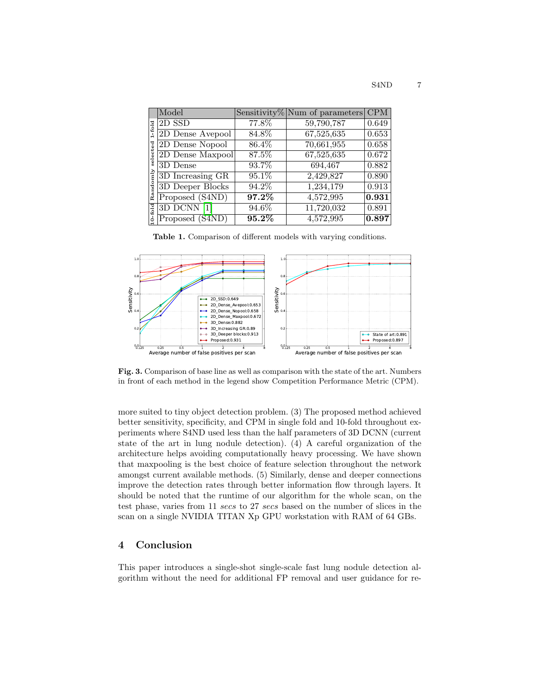| $1-fold$<br>명<br>$\mathbf{s}$<br>$_{\rm mly}$<br>Rand | Model            |          | Sensitivity% Num of parameters | <b>CPM</b> |
|-------------------------------------------------------|------------------|----------|--------------------------------|------------|
|                                                       | $2D$ SSD         | 77.8%    | 59,790,787                     | 0.649      |
|                                                       | 2D Dense Avepool | 84.8%    | 67,525,635                     | 0.653      |
|                                                       | 2D Dense Nopool  | 86.4%    | 70,661,955                     | 0.658      |
|                                                       | 2D Dense Maxpool | 87.5%    | 67,525,635                     | 0.672      |
|                                                       | 3D Dense         | 93.7%    | 694,467                        | 0.882      |
|                                                       | 3D Increasing GR | 95.1%    | 2,429,827                      | 0.890      |
|                                                       | 3D Deeper Blocks | 94.2%    | 1,234,179                      | 0.913      |
|                                                       | Proposed (S4ND)  | $97.2\%$ | 4,572,995                      | 0.931      |
| fold                                                  | 3D DCNN [1]      | 94.6%    | 11,720,032                     | 0.891      |
|                                                       | Proposed (S4ND)  | $95.2\%$ | 4,572,995                      | 0.897      |

<span id="page-6-0"></span>Table 1. Comparison of different models with varying conditions.



<span id="page-6-1"></span>Fig. 3. Comparison of base line as well as comparison with the state of the art. Numbers in front of each method in the legend show Competition Performance Metric (CPM).

more suited to tiny object detection problem. (3) The proposed method achieved better sensitivity, specificity, and CPM in single fold and 10-fold throughout experiments where S4ND used less than the half parameters of 3D DCNN (current state of the art in lung nodule detection). (4) A careful organization of the architecture helps avoiding computationally heavy processing. We have shown that maxpooling is the best choice of feature selection throughout the network amongst current available methods. (5) Similarly, dense and deeper connections improve the detection rates through better information flow through layers. It should be noted that the runtime of our algorithm for the whole scan, on the test phase, varies from 11 secs to 27 secs based on the number of slices in the scan on a single NVIDIA TITAN Xp GPU workstation with RAM of 64 GBs.

# 4 Conclusion

This paper introduces a single-shot single-scale fast lung nodule detection algorithm without the need for additional FP removal and user guidance for re-